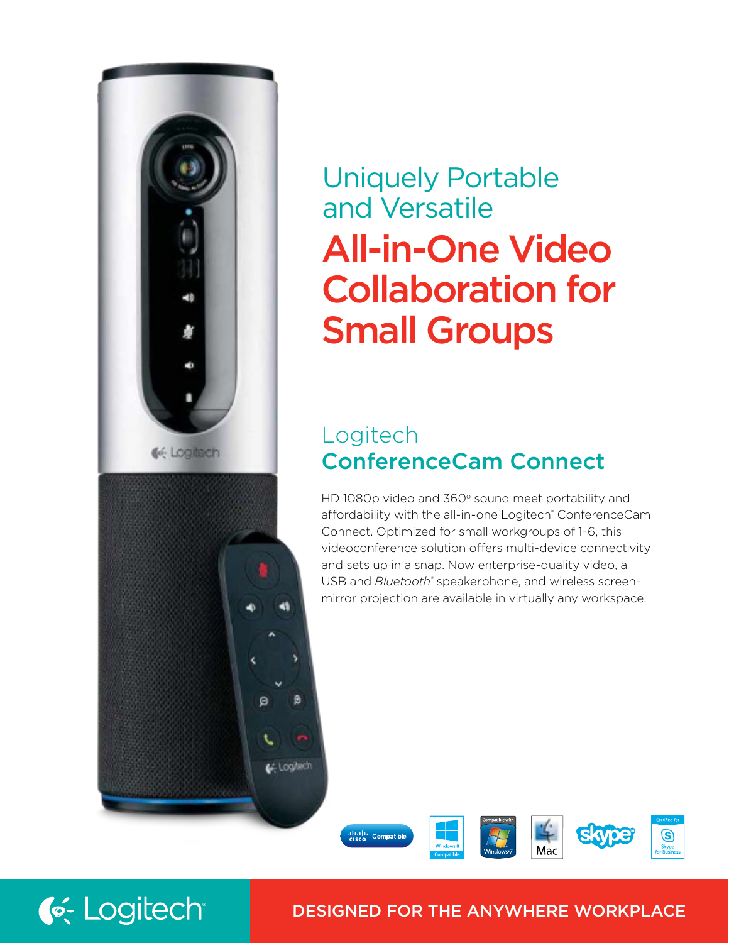



# Logitech ConferenceCam Connect

HD 1080p video and  $360^{\circ}$  sound meet portability and affordability with the all-in-one Logitech® ConferenceCam Connect. Optimized for small workgroups of 1-6, this videoconference solution offers multi-device connectivity and sets up in a snap. Now enterprise-quality video, a USB and *Bluetooth*<sup>®</sup> speakerphone, and wireless screenmirror projection are available in virtually any workspace.





G. Loglech

# DESIGNED FOR THE ANYWHERE WORKPLACE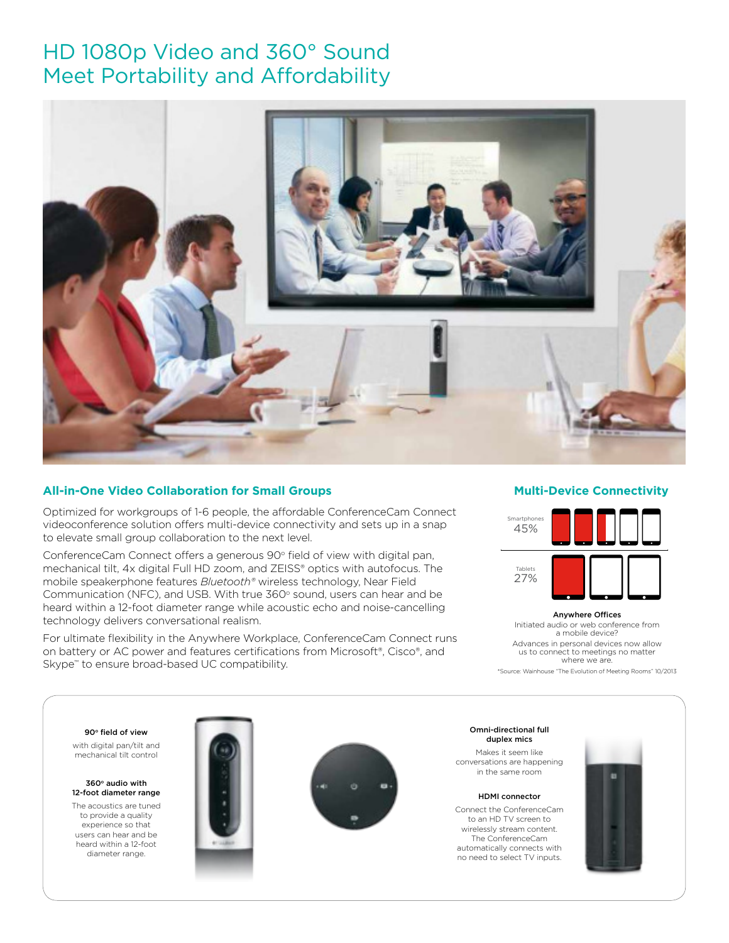# HD 1080p Video and 360° Sound Meet Portability and Affordability



# **All-in-One Video Collaboration for Small Groups**

Optimized for workgroups of 1-6 people, the affordable ConferenceCam Connect videoconference solution offers multi-device connectivity and sets up in a snap to elevate small group collaboration to the next level.

ConferenceCam Connect offers a generous  $90^{\circ}$  field of view with digital pan, mechanical tilt, 4x digital Full HD zoom, and ZEISS® optics with autofocus. The mobile speakerphone features *Bluetooth®* wireless technology, Near Field Communication (NFC), and USB. With true  $360^{\circ}$  sound, users can hear and be heard within a 12-foot diameter range while acoustic echo and noise-cancelling technology delivers conversational realism.

For ultimate flexibility in the Anywhere Workplace, ConferenceCam Connect runs on battery or AC power and features certifications from Microsoft®, Cisco®, and Skype™ to ensure broad-based UC compatibility.

# **Multi-Device Connectivity**



Anywhere Offices Initiated audio or web conference from a mobile device? Advances in personal devices now allow us to connect to meetings no matter where we are. \*Source: Wainhouse "The Evolution of Meeting Rooms" 10/2013

90° field of view

with digital pan/tilt and mechanical tilt control

360° audio with 12-foot diameter range

The acoustics are tuned to provide a quality experience so that users can hear and be heard within a 12-foot diameter range.





Omni-directional full duplex mics

Makes it seem like conversations are happening in the same room

HDMI connector

Connect the ConferenceCam to an HD TV screen to wirelessly stream content. The ConferenceCam automatically connects with no need to select TV inputs.

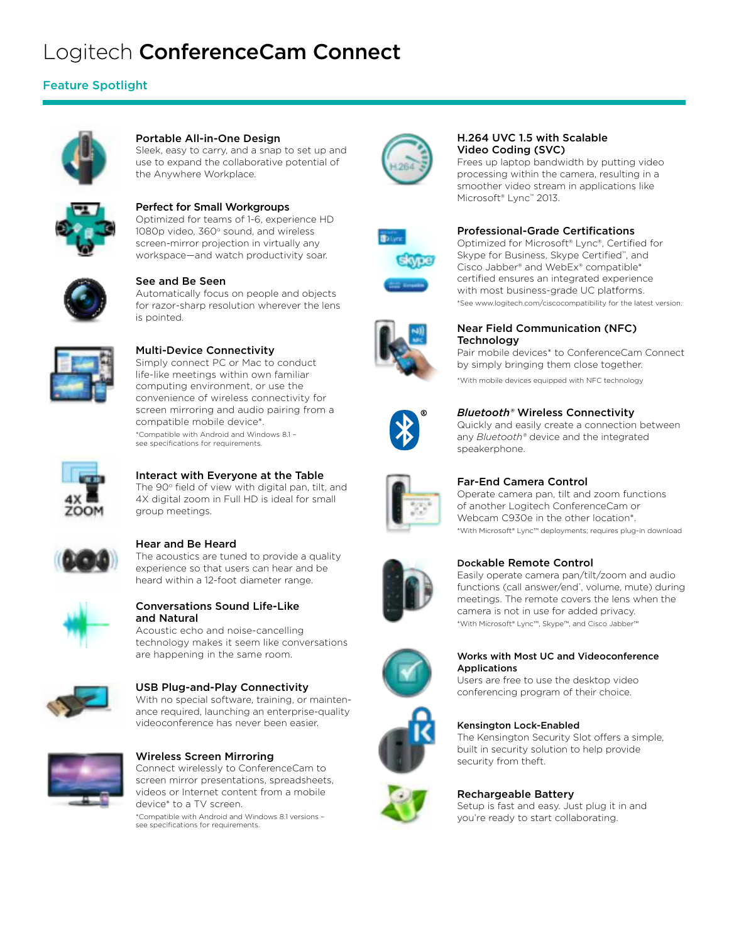# Logitech ConferenceCam Connect

# Feature Spotlight



# Portable All-in-One Design

Sleek, easy to carry, and a snap to set up and use to expand the collaborative potential of the Anywhere Workplace.



# Perfect for Small Workgroups

Optimized for teams of 1-6, experience HD 1080p video, 360° sound, and wireless screen-mirror projection in virtually any workspace—and watch productivity soar.



# See and Be Seen

Automatically focus on people and objects for razor-sharp resolution wherever the lens is pointed.



# Multi-Device Connectivity

Simply connect PC or Mac to conduct life-like meetings within own familiar computing environment, or use the convenience of wireless connectivity for screen mirroring and audio pairing from a compatible mobile device\*. \*Compatible with Android and Windows 8.1 –

see specifications for requirements.



# Interact with Everyone at the Table The 90° field of view with digital pan, tilt, and

4X digital zoom in Full HD is ideal for small group meetings.



# Hear and Be Heard

The acoustics are tuned to provide a quality experience so that users can hear and be heard within a 12-foot diameter range.



### Conversations Sound Life-Like and Natural

Acoustic echo and noise-cancelling technology makes it seem like conversations are happening in the same room.



# USB Plug-and-Play Connectivity

With no special software, training, or maintenance required, launching an enterprise-quality videoconference has never been easier.



Wireless Screen Mirroring Connect wirelessly to ConferenceCam to screen mirror presentations, spreadsheets, videos or Internet content from a mobile device\* to a TV screen.

\*Compatible with Android and Windows 8.1 versions – see specifications for requirements.



# H.264 UVC 1.5 with Scalable Video Coding (SVC)

Frees up laptop bandwidth by putting video processing within the camera, resulting in a smoother video stream in applications like Microsoft® Lync™ 2013.



## Professional-Grade Certifications

Optimized for Microsoft® Lync®, Certified for Skype for Business, Skype Certified™ , and Cisco Jabber® and WebEx® compatible\* certified ensures an integrated experience with most business-grade UC platforms. \*See www.logitech.com/ciscocompatibility for the latest version.



### Near Field Communication (NFC) **Technology**

Pair mobile devices\* to ConferenceCam Connect by simply bringing them close together.

\*With mobile devices equipped with NFC technology



*Bluetooth®* Wireless Connectivity

Quickly and easily create a connection between any *Bluetooth®* device and the integrated speakerphone.



# Far-End Camera Control

Operate camera pan, tilt and zoom functions of another Logitech ConferenceCam or Webcam C930e in the other location\*. \*With Microsoft® Lync™ deployments; requires plug-in download



# Dockable Remote Control

Easily operate camera pan/tilt/zoom and audio functions (call answer/end\*, volume, mute) during meetings. The remote covers the lens when the camera is not in use for added privacy. \*With Microsoft® Lync™, Skype™, and Cisco Jabber™



#### Works with Most UC and Videoconference **Applications**

Users are free to use the desktop video conferencing program of their choice.

# Kensington Lock-Enabled

The Kensington Security Slot offers a simple, built in security solution to help provide security from theft.



# Rechargeable Battery

Setup is fast and easy. Just plug it in and you're ready to start collaborating.